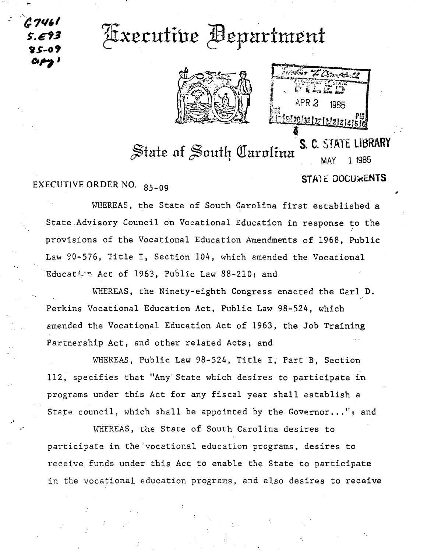<sup>2</sup> G7461 *S'.E?3*  **v.s ... ot** ~,,

 $-$ 

..

## Axecutive Bepartment



APR<sub>2</sub> 1985 <u>si toi se le le le pro</u>

## S. C. STATE LIBRARY State of South Carolina

MAY 1 1985

•cJ

EXECUTIVE ORDER NO. 85-09 STATE DOCU&ENTS

WHEREAS, the State of South Carolina first established a State Advisory Council on Vocational Education in response to the provisions of the Vocational Education Amendments of 1968, Public Law 90-576, Title I, Section 104, which amended the Vocational Education Act of 1963, Public Law 88-210; and

WHEREAS, the Ninety-eighth Congress enacted the Carl D. Perkins Vocational Education Act, Public Law 98-524, which amended the Vocational Education Act of 1963, the Job Training Partnership Act, and other related Acts; and

WHEREAS, Public Law 98-524, Title I, Part B, Section 112, specifies that "Any·state which desires to participate in programs under this Act for any fiscal year shall establish a State council, which shall be appointed by the Governor..."; and

WHEREAS, the State of South Carolina desires to participate in the vocational education programs, desires to receive funds under this Act to enable the State to participate in the vocational education programs, and also desires to receive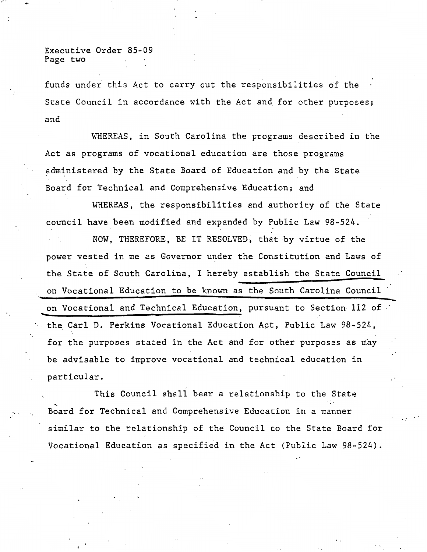Executive Order 85-09 Page two

.. ·.

funds under this Act to carry out the responsibilities of the State Council in accordance with the Act and for other purposes; and

WHEREAS, in South Carolina the programs described in the Act as programs of vocational education are those programs administered by the State Board of Education and by the State Board for Technical and Comprehensive Education; and

WHEREAS, the responsibilities and authority of the State council have. been modified and expanded by Public Law 98-524.

NOW, THEREFORE, BE IT RESOLVED, that by virtue of the power vested in me as Governor under the Constitution and Laws of the State of South Carolina, I hereby establish the State Council on Vocational Education to be known as the South Carolina Council on Vocational and Technical Education, pursuant to Section 112 of the Carl D. Perkins Vocational Education Act, Public Law 98-524, for the purposes stated in the Act and for other purposes as may be advisable to improve vocational and technical education in particular.

This Council shall bear a relationship to the State Board for Technical and Comprehensive Education in a manner similar to the relationship of the Council to the State Board for Vocational Education as specified in the Act (Public Law 98-524).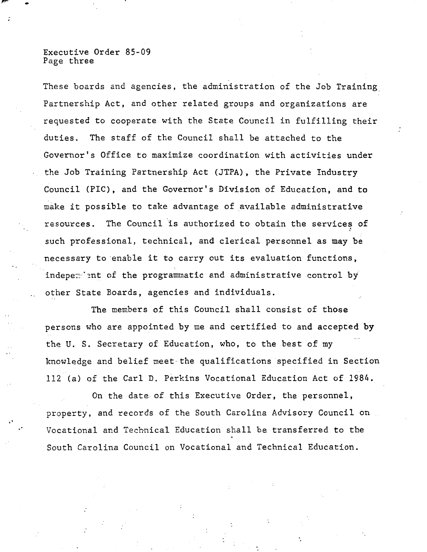## Executive Order 85-09 Page three

•

..

These boards and agencies, the administration of the Job Training\_ Partnership Act, and other related groups and organizations are requested to cooperate with the State Council in fulfilling their duties. The staff of the Council shall be attached to the Governor's Office to maximize coordination with activities under the Job Training Partnership Act (JTPA), the Private Industry Council (PIC), and the Governor's Division of Education, and to make it possible to take advantage of available administrative resources. The Council is authorized to obtain the services of ' such professional, technical, and clerical personnel as may be necessary to enable it to carry out its evaluation functions, indepe $\tau$  ant of the programmatic and administrative control by other State Boards, agencies and individuals.

The members of this Council shall consist of those persons who are appointed by me and certified to and accepted by the U. S. Secretary of Education, who, to the best of my knowledge and belief meet the qualifications specified in Section 112 (a) of the Carl D. Perkins Vocational Education Act of 1984.

On the date of this Executive Order, the personnel, property, and records of the South Carolina Advisory Council on Vocational and Technical Education shall be transferred to the South Carolina Council on Vocational and Technical Education.